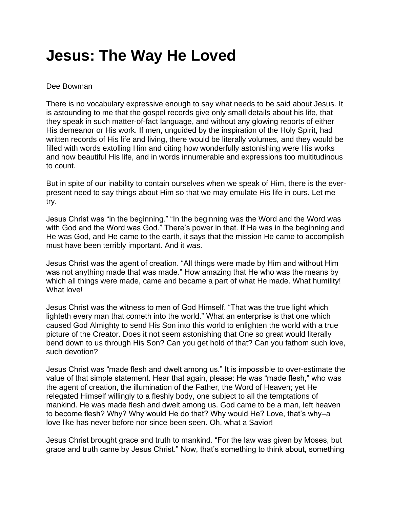## **Jesus: The Way He Loved**

## Dee Bowman

There is no vocabulary expressive enough to say what needs to be said about Jesus. It is astounding to me that the gospel records give only small details about his life, that they speak in such matter-of-fact language, and without any glowing reports of either His demeanor or His work. If men, unguided by the inspiration of the Holy Spirit, had written records of His life and living, there would be literally volumes, and they would be filled with words extolling Him and citing how wonderfully astonishing were His works and how beautiful His life, and in words innumerable and expressions too multitudinous to count.

But in spite of our inability to contain ourselves when we speak of Him, there is the everpresent need to say things about Him so that we may emulate His life in ours. Let me try.

Jesus Christ was "in the beginning." "In the beginning was the Word and the Word was with God and the Word was God." There's power in that. If He was in the beginning and He was God, and He came to the earth, it says that the mission He came to accomplish must have been terribly important. And it was.

Jesus Christ was the agent of creation. "All things were made by Him and without Him was not anything made that was made." How amazing that He who was the means by which all things were made, came and became a part of what He made. What humility! What love!

Jesus Christ was the witness to men of God Himself. "That was the true light which lighteth every man that cometh into the world." What an enterprise is that one which caused God Almighty to send His Son into this world to enlighten the world with a true picture of the Creator. Does it not seem astonishing that One so great would literally bend down to us through His Son? Can you get hold of that? Can you fathom such love, such devotion?

Jesus Christ was "made flesh and dwelt among us." It is impossible to over-estimate the value of that simple statement. Hear that again, please: He was "made flesh," who was the agent of creation, the illumination of the Father, the Word of Heaven; yet He relegated Himself willingly to a fleshly body, one subject to all the temptations of mankind. He was made flesh and dwelt among us. God came to be a man, left heaven to become flesh? Why? Why would He do that? Why would He? Love, that's why–a love like has never before nor since been seen. Oh, what a Savior!

Jesus Christ brought grace and truth to mankind. "For the law was given by Moses, but grace and truth came by Jesus Christ." Now, that's something to think about, something